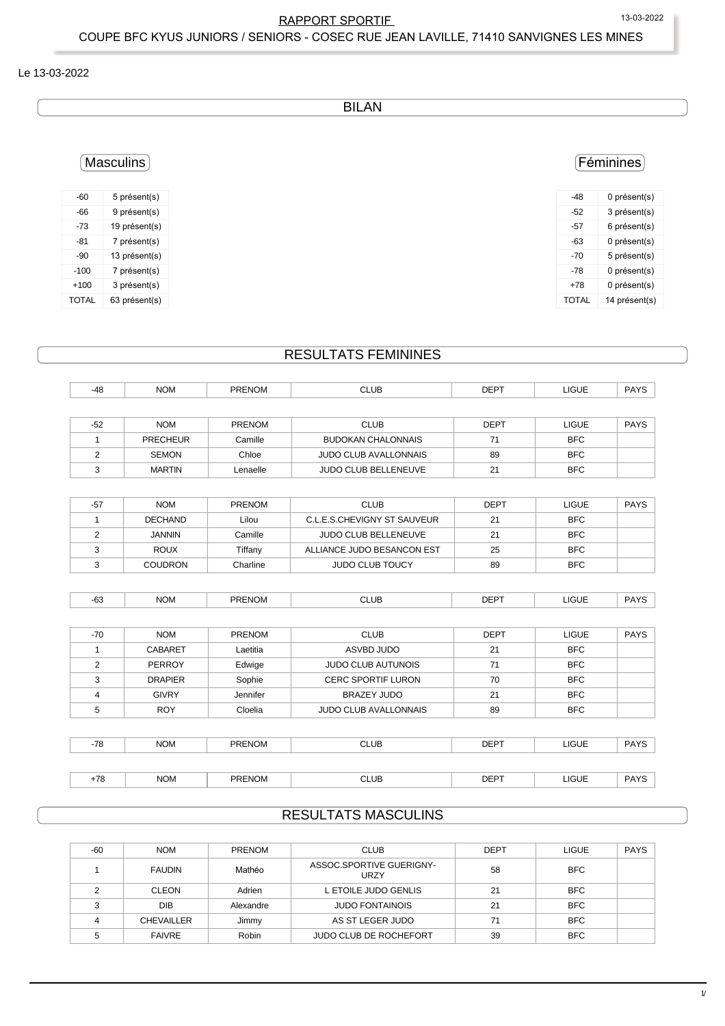#### Le 13-03-2022

### BILAN

# Féminines

| -48          | 0 présent(s)  |
|--------------|---------------|
| -52          | 3 présent(s)  |
| -57          | 6 présent(s)  |
| -63          | 0 présent(s)  |
| -70          | 5 présent(s)  |
| -78          | 0 présent(s)  |
| $+78$        | 0 présent(s)  |
| <b>TOTAL</b> | 14 présent(s) |

## Masculins

| -60          | 5 présent(s)  |
|--------------|---------------|
| -66          | 9 présent(s)  |
| -73          | 19 présent(s) |
| $-81$        | 7 présent(s)  |
| $-90$        | 13 présent(s) |
| $-100$       | 7 présent(s)  |
| $+100$       | 3 présent(s)  |
| <b>TOTAL</b> | 63 présent(s) |

### RESULTATS FEMININES

| $-48$ | <b>NOM</b>      | <b>PRENOM</b> | <b>CLUB</b>                  | <b>DEPT</b> | <b>LIGUE</b> | <b>PAYS</b> |
|-------|-----------------|---------------|------------------------------|-------------|--------------|-------------|
|       |                 |               |                              |             |              |             |
| $-52$ | <b>NOM</b>      | PRENOM        | <b>CLUB</b>                  | <b>DEPT</b> | <b>LIGUE</b> | <b>PAYS</b> |
| 1     | <b>PRECHEUR</b> | Camille       | <b>BUDOKAN CHALONNAIS</b>    | 71          | <b>BFC</b>   |             |
| 2     | <b>SEMON</b>    | Chloe         | <b>JUDO CLUB AVALLONNAIS</b> | 89          | <b>BFC</b>   |             |
| 3     | <b>MARTIN</b>   | Lenaelle      | JUDO CLUB BELLENEUVE         | 21          | <b>BFC</b>   |             |
|       |                 |               |                              |             |              |             |
| $-57$ | <b>NOM</b>      | <b>PRENOM</b> | <b>CLUB</b>                  | <b>DEPT</b> | <b>LIGUE</b> | <b>PAYS</b> |
| 1     | <b>DECHAND</b>  | Lilou         | C.L.E.S.CHEVIGNY ST SAUVEUR  | 21          | <b>BFC</b>   |             |
| 2     | <b>JANNIN</b>   | Camille       | JUDO CLUB BELLENEUVE         | 21          | <b>BFC</b>   |             |
| 3     | <b>ROUX</b>     | Tiffany       | ALLIANCE JUDO BESANCON EST   | 25          | <b>BFC</b>   |             |
| 3     | <b>COUDRON</b>  | Charline      | <b>JUDO CLUB TOUCY</b>       | 89          | <b>BFC</b>   |             |
|       |                 |               |                              |             |              |             |
|       |                 |               |                              |             |              |             |

| $-70$ | <b>NOM</b>     | <b>PRENOM</b> | <b>CLUB</b>                  | <b>DEPT</b> | <b>LIGUE</b> | <b>PAYS</b> |
|-------|----------------|---------------|------------------------------|-------------|--------------|-------------|
|       | <b>CABARET</b> | Laetitia      | ASVBD JUDO                   | 21          | <b>BFC</b>   |             |
| 2     | PERROY         | Edwige        | <b>JUDO CLUB AUTUNOIS</b>    | 71          | <b>BFC</b>   |             |
| 3     | <b>DRAPIER</b> | Sophie        | <b>CERC SPORTIF LURON</b>    | 70          | <b>BFC</b>   |             |
| 4     | <b>GIVRY</b>   | Jennifer      | <b>BRAZEY JUDO</b>           | 21          | <b>BFC</b>   |             |
| 5     | <b>ROY</b>     | Cloelia       | <b>JUDO CLUB AVALLONNAIS</b> | 89          | <b>BFC</b>   |             |
|       |                |               |                              |             |              |             |
| -78   | <b>NOM</b>     | <b>PRENOM</b> | <b>CLUB</b>                  | <b>DEPT</b> | <b>LIGUE</b> | <b>PAYS</b> |
|       |                |               |                              |             |              |             |
| $+78$ | <b>NOM</b>     | <b>PRENOM</b> | <b>CLUB</b>                  | <b>DEPT</b> | <b>LIGUE</b> | <b>PAYS</b> |

# RESULTATS MASCULINS

| $-60$ | <b>NOM</b>        | <b>PRENOM</b> | <b>CLUB</b>                      | <b>DEPT</b> | LIGUE      | <b>PAYS</b> |
|-------|-------------------|---------------|----------------------------------|-------------|------------|-------------|
|       | <b>FAUDIN</b>     | Mathéo        | ASSOC.SPORTIVE GUERIGNY-<br>URZY | 58          | <b>BFC</b> |             |
|       | <b>CLEON</b>      | Adrien        | L ETOILE JUDO GENLIS             | 21          | <b>BFC</b> |             |
|       | <b>DIB</b>        | Alexandre     | <b>JUDO FONTAINOIS</b>           | 21          | <b>BFC</b> |             |
|       | <b>CHEVAILLER</b> | Jimmy         | AS ST LEGER JUDO                 | 71          | <b>BFC</b> |             |
|       | <b>FAIVRE</b>     | Robin         | JUDO CLUB DE ROCHEFORT           | 39          | <b>BFC</b> |             |